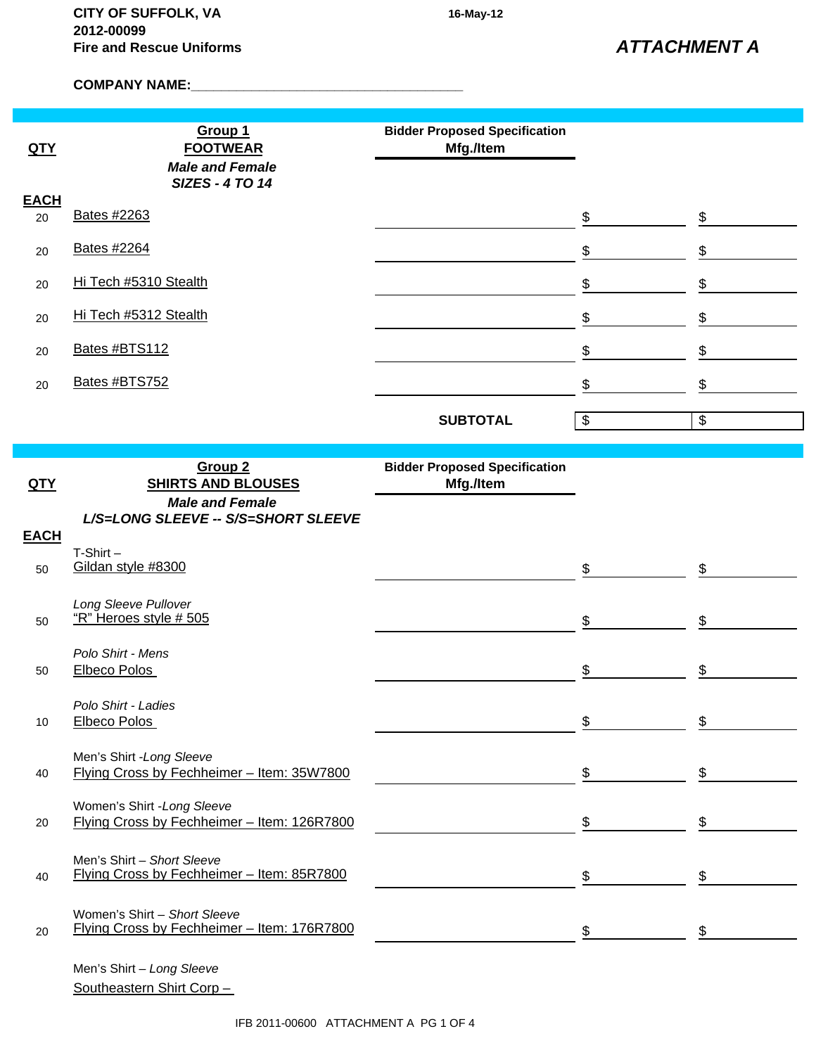*ATTACHMENT A*

**COMPANY NAME:\_\_\_\_\_\_\_\_\_\_\_\_\_\_\_\_\_\_\_\_\_\_\_\_\_\_\_\_\_\_\_\_\_\_\_\_**

| QTY         | Group 1<br><b>FOOTWEAR</b><br><b>Male and Female</b>                       | <b>Bidder Proposed Specification</b><br>Mfg./Item |                                           |    |
|-------------|----------------------------------------------------------------------------|---------------------------------------------------|-------------------------------------------|----|
| <b>EACH</b> | <b>SIZES - 4 TO 14</b>                                                     |                                                   |                                           |    |
| 20          | Bates #2263                                                                |                                                   | \$                                        | \$ |
| 20          | <b>Bates #2264</b>                                                         |                                                   | \$                                        | \$ |
| 20          | Hi Tech #5310 Stealth                                                      |                                                   | \$                                        | \$ |
| 20          | Hi Tech #5312 Stealth                                                      |                                                   | \$                                        | \$ |
| 20          | Bates #BTS112                                                              |                                                   | \$                                        | \$ |
| 20          | Bates #BTS752                                                              |                                                   | \$                                        | \$ |
|             |                                                                            | <b>SUBTOTAL</b>                                   | $\, \, \raisebox{12pt}{$\scriptstyle \$}$ | \$ |
|             |                                                                            |                                                   |                                           |    |
| QTY         | Group <sub>2</sub><br><b>SHIRTS AND BLOUSES</b>                            | <b>Bidder Proposed Specification</b><br>Mfg./Item |                                           |    |
| <b>EACH</b> | <b>Male and Female</b><br>L/S=LONG SLEEVE -- S/S=SHORT SLEEVE              |                                                   |                                           |    |
| 50          | $T-Shirt -$<br>Gildan style #8300                                          |                                                   | \$                                        | \$ |
| 50          | Long Sleeve Pullover<br>"R" Heroes style # 505                             |                                                   | \$                                        | \$ |
| 50          | Polo Shirt - Mens<br>Elbeco Polos                                          |                                                   | \$                                        | \$ |
| 10          | Polo Shirt - Ladies<br><b>Elbeco Polos</b>                                 |                                                   | \$                                        |    |
| 40          | Men's Shirt - Long Sleeve<br>Flying Cross by Fechheimer - Item: 35W7800    |                                                   | \$                                        | \$ |
| 20          | Women's Shirt - Long Sleeve<br>Flying Cross by Fechheimer - Item: 126R7800 |                                                   | \$                                        | \$ |
| 40          | Men's Shirt - Short Sleeve<br>Flying Cross by Fechheimer - Item: 85R7800   |                                                   | \$                                        | \$ |

Women's Shirt – *Short Sleeve* 20 Flying Cross by Fechheimer – Item: 176R7800 **\$** \$ \$ \$ \$ \$

Men's Shirt – *Long Sleeve* Southeastern Shirt Corp –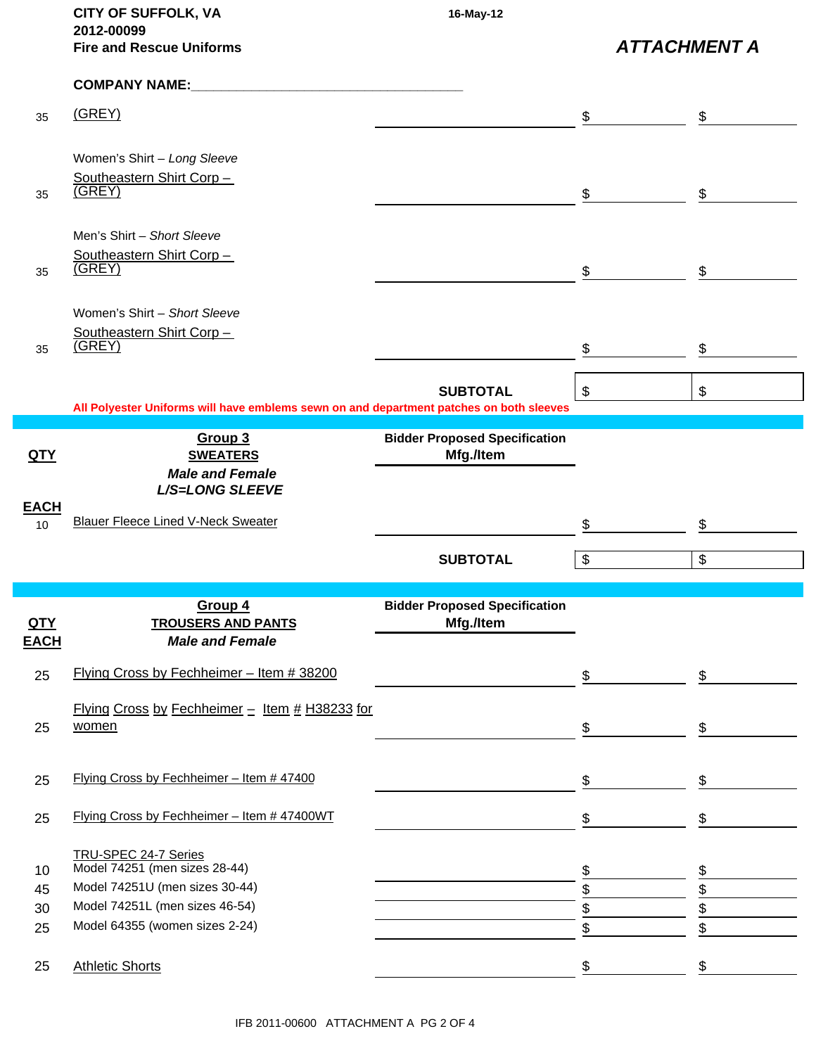|                           | <b>CITY OF SUFFOLK, VA</b>                                                              | 16-May-12                            |                                                   |                         |
|---------------------------|-----------------------------------------------------------------------------------------|--------------------------------------|---------------------------------------------------|-------------------------|
|                           | 2012-00099<br><b>Fire and Rescue Uniforms</b>                                           |                                      | <b>ATTACHMENT A</b>                               |                         |
|                           | <b>COMPANY NAME:</b>                                                                    |                                      |                                                   |                         |
| 35                        | (GREY)                                                                                  |                                      | \$                                                | $\mathfrak{S}$          |
|                           | Women's Shirt - Long Sleeve                                                             |                                      |                                                   |                         |
|                           | Southeastern Shirt Corp-                                                                |                                      |                                                   |                         |
| 35                        | (GREY)                                                                                  |                                      | \$                                                | \$                      |
|                           | Men's Shirt - Short Sleeve                                                              |                                      |                                                   |                         |
|                           | Southeastern Shirt Corp-<br>(GREY)                                                      |                                      |                                                   |                         |
| 35                        |                                                                                         |                                      | \$                                                | \$                      |
|                           | Women's Shirt - Short Sleeve                                                            |                                      |                                                   |                         |
|                           | Southeastern Shirt Corp -                                                               |                                      |                                                   |                         |
| 35                        | (GREV)                                                                                  |                                      | \$                                                | \$                      |
|                           |                                                                                         | <b>SUBTOTAL</b>                      | $\boldsymbol{\$}$                                 | $\frac{1}{2}$           |
|                           | All Polyester Uniforms will have emblems sewn on and department patches on both sleeves |                                      |                                                   |                         |
|                           | Group 3                                                                                 | <b>Bidder Proposed Specification</b> |                                                   |                         |
| <u>QTY</u>                | <b>SWEATERS</b><br><b>Male and Female</b>                                               | Mfg./Item                            |                                                   |                         |
|                           | L/S=LONG SLEEVE                                                                         |                                      |                                                   |                         |
| <b>EACH</b>               |                                                                                         |                                      |                                                   |                         |
| 10 <sup>10</sup>          | <b>Blauer Fleece Lined V-Neck Sweater</b>                                               |                                      | \$                                                | \$                      |
|                           |                                                                                         | <b>SUBTOTAL</b>                      | $\, \, \raisebox{-1.5pt}{\text{\circle*{1.5}}}\,$ | $\sqrt[6]{\frac{1}{2}}$ |
|                           |                                                                                         |                                      |                                                   |                         |
|                           | Group 4                                                                                 | <b>Bidder Proposed Specification</b> |                                                   |                         |
| <u>QTY</u><br><b>EACH</b> | <b>TROUSERS AND PANTS</b><br><b>Male and Female</b>                                     | Mfg./Item                            |                                                   |                         |
|                           |                                                                                         |                                      |                                                   |                         |
| 25                        | Flying Cross by Fechheimer - Item # 38200                                               |                                      | \$                                                | \$                      |
|                           | Flying Cross by Fechheimer - Item # H38233 for                                          |                                      |                                                   |                         |
| 25                        | women                                                                                   |                                      | \$                                                | \$                      |
|                           |                                                                                         |                                      |                                                   |                         |
| 25                        | Flying Cross by Fechheimer - Item # 47400                                               |                                      | \$                                                | \$                      |
|                           |                                                                                         |                                      |                                                   |                         |
| 25                        | Flying Cross by Fechheimer - Item #47400WT                                              |                                      | \$                                                | \$                      |
|                           | TRU-SPEC 24-7 Series                                                                    |                                      |                                                   |                         |
| 10                        | Model 74251 (men sizes 28-44)                                                           |                                      | \$                                                |                         |
| 45                        | Model 74251U (men sizes 30-44)<br>Model 74251L (men sizes 46-54)                        |                                      | \$                                                | \$                      |
| 30<br>25                  | Model 64355 (women sizes 2-24)                                                          |                                      | \$<br>\$                                          | \$<br>\$                |
|                           |                                                                                         |                                      |                                                   |                         |
| 25                        | <b>Athletic Shorts</b>                                                                  |                                      | \$                                                | \$                      |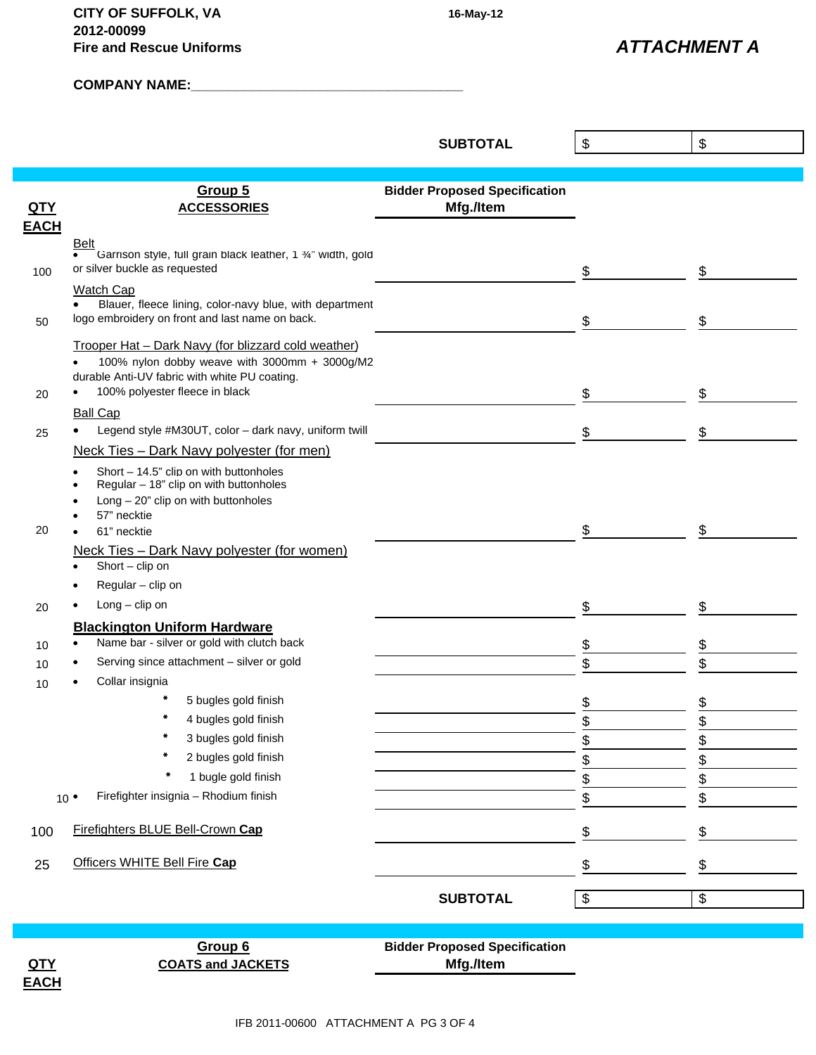**CITY OF SUFFOLK, VA 16-May-12 2012-00099 Fire and Rescue Uniforms**

*ATTACHMENT A*

**COMPANY NAME:\_\_\_\_\_\_\_\_\_\_\_\_\_\_\_\_\_\_\_\_\_\_\_\_\_\_\_\_\_\_\_\_\_\_\_\_**

|             |                                                                                  | <b>SUBTOTAL</b>                      | \$            | \$ |
|-------------|----------------------------------------------------------------------------------|--------------------------------------|---------------|----|
|             |                                                                                  |                                      |               |    |
|             |                                                                                  |                                      |               |    |
|             | Group 5                                                                          | <b>Bidder Proposed Specification</b> |               |    |
| QTY         | <b>ACCESSORIES</b>                                                               | Mfg./Item                            |               |    |
| <b>EACH</b> |                                                                                  |                                      |               |    |
|             | <b>Belt</b><br>Garrison style, full grain black leather, 1 %" width, gold        |                                      |               |    |
| 100         | or silver buckle as requested                                                    |                                      | \$            | \$ |
|             | Watch Cap                                                                        |                                      |               |    |
|             | Blauer, fleece lining, color-navy blue, with department                          |                                      |               |    |
| 50          | logo embroidery on front and last name on back.                                  |                                      | \$            | \$ |
|             | Trooper Hat - Dark Navy (for blizzard cold weather)                              |                                      |               |    |
|             | 100% nylon dobby weave with 3000mm + 3000g/M2                                    |                                      |               |    |
|             | durable Anti-UV fabric with white PU coating.<br>100% polyester fleece in black  |                                      |               |    |
| 20          | $\bullet$                                                                        |                                      | \$            | \$ |
|             | <b>Ball Cap</b>                                                                  |                                      |               |    |
| 25          | Legend style #M30UT, color - dark navy, uniform twill                            |                                      | S             | \$ |
|             | Neck Ties - Dark Navy polyester (for men)                                        |                                      |               |    |
|             | Short - 14.5" clip on with buttonholes<br>Regular - 18" clip on with buttonholes |                                      |               |    |
|             | $Long - 20"$ clip on with buttonholes                                            |                                      |               |    |
|             | 57" necktie                                                                      |                                      |               |    |
| 20          | 61" necktie                                                                      |                                      | \$            | \$ |
|             | Neck Ties - Dark Navy polyester (for women)                                      |                                      |               |    |
|             | Short - clip on                                                                  |                                      |               |    |
|             | Regular - clip on                                                                |                                      |               |    |
| 20          | $Long - clip$ on                                                                 |                                      | \$            | \$ |
|             | <b>Blackington Uniform Hardware</b>                                              |                                      |               |    |
| 10          | Name bar - silver or gold with clutch back                                       |                                      | \$            | \$ |
| 10          | Serving since attachment - silver or gold                                        |                                      | \$            | \$ |
| 10          | Collar insignia                                                                  |                                      |               |    |
|             | 5 bugles gold finish                                                             |                                      | \$            | \$ |
|             | 4 bugles gold finish                                                             |                                      | $\frac{1}{2}$ | ¢  |
|             | *<br>3 bugles gold finish                                                        |                                      | \$            |    |
|             | 2 bugles gold finish                                                             |                                      | \$            | \$ |
|             | 1 bugle gold finish                                                              |                                      | \$            | \$ |
|             | Firefighter insignia - Rhodium finish<br>$10^{\circ}$                            |                                      | \$            | \$ |
|             |                                                                                  |                                      |               |    |
| 100         | Firefighters BLUE Bell-Crown Cap                                                 |                                      | \$            | \$ |
|             | Officers WHITE Bell Fire Cap                                                     |                                      |               |    |
| 25          |                                                                                  |                                      | \$            | \$ |
|             |                                                                                  | <b>SUBTOTAL</b>                      | \$            | \$ |
|             |                                                                                  |                                      |               |    |
|             |                                                                                  |                                      |               |    |
|             | Group 6                                                                          | <b>Bidder Proposed Specification</b> |               |    |
| QTY         | <b>COATS and JACKETS</b>                                                         | Mfg./Item                            |               |    |
| <b>EACH</b> |                                                                                  |                                      |               |    |